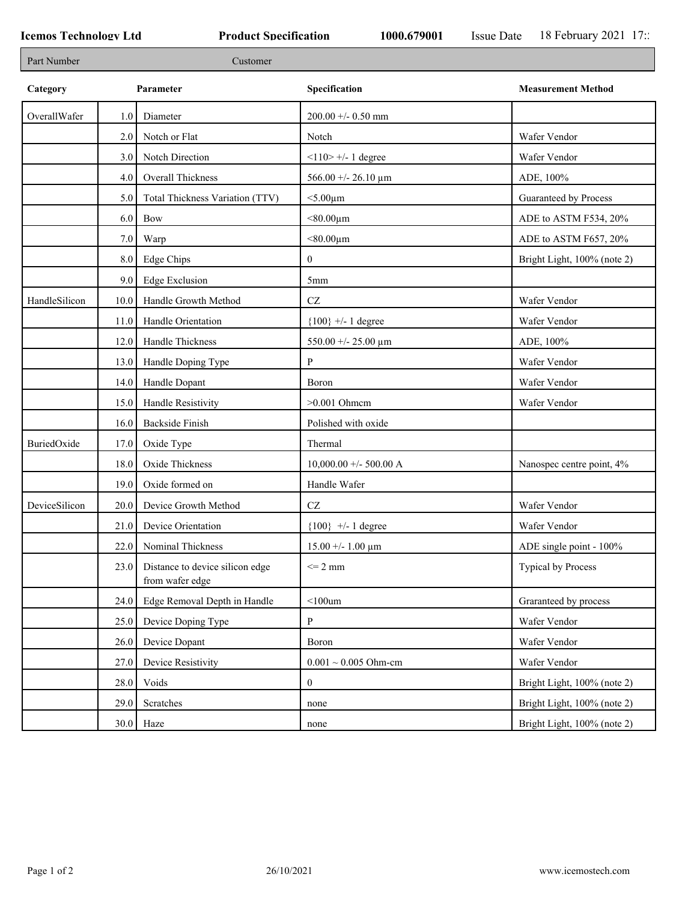۰

| Part Number   |      | Customer                                           |                           |                             |
|---------------|------|----------------------------------------------------|---------------------------|-----------------------------|
| Category      |      | Parameter                                          | Specification             | <b>Measurement Method</b>   |
| OverallWafer  | 1.0  | Diameter                                           | 200.00 +/- 0.50 mm        |                             |
|               | 2.0  | Notch or Flat                                      | Notch                     | Wafer Vendor                |
|               | 3.0  | Notch Direction                                    | $<$ 110> +/- 1 degree     | Wafer Vendor                |
|               | 4.0  | <b>Overall Thickness</b>                           | 566.00 +/- 26.10 $\mu$ m  | ADE, 100%                   |
|               | 5.0  | Total Thickness Variation (TTV)                    | $<$ 5.00 $\mu$ m          | Guaranteed by Process       |
|               | 6.0  | Bow                                                | $< 80.00 \mu m$           | ADE to ASTM F534, 20%       |
|               | 7.0  | Warp                                               | $< 80.00 \mu m$           | ADE to ASTM F657, 20%       |
|               | 8.0  | Edge Chips                                         | $\boldsymbol{0}$          | Bright Light, 100% (note 2) |
|               | 9.0  | <b>Edge Exclusion</b>                              | 5mm                       |                             |
| HandleSilicon | 10.0 | Handle Growth Method                               | $\operatorname{CZ}$       | Wafer Vendor                |
|               | 11.0 | Handle Orientation                                 | ${100}$ +/- 1 degree      | Wafer Vendor                |
|               | 12.0 | Handle Thickness                                   | 550.00 +/- 25.00 $\mu$ m  | ADE, 100%                   |
|               | 13.0 | Handle Doping Type                                 | P                         | Wafer Vendor                |
|               | 14.0 | Handle Dopant                                      | Boron                     | Wafer Vendor                |
|               | 15.0 | Handle Resistivity                                 | $>0.001$ Ohmem            | Wafer Vendor                |
|               | 16.0 | <b>Backside Finish</b>                             | Polished with oxide       |                             |
| BuriedOxide   | 17.0 | Oxide Type                                         | Thermal                   |                             |
|               | 18.0 | Oxide Thickness                                    | $10,000.00 +/- 500.00 A$  | Nanospec centre point, 4%   |
|               | 19.0 | Oxide formed on                                    | Handle Wafer              |                             |
| DeviceSilicon | 20.0 | Device Growth Method                               | $\operatorname{CZ}$       | Wafer Vendor                |
|               | 21.0 | Device Orientation                                 | ${100}$ +/- 1 degree      | Wafer Vendor                |
|               | 22.0 | Nominal Thickness                                  | $15.00 + - 1.00 \mu m$    | ADE single point - 100%     |
|               | 23.0 | Distance to device silicon edge<br>from wafer edge | $\leq$ 2 mm               | Typical by Process          |
|               | 24.0 | Edge Removal Depth in Handle                       | $<$ 100 $um$              | Graranteed by process       |
|               | 25.0 | Device Doping Type                                 | ${\bf P}$                 | Wafer Vendor                |
|               | 26.0 | Device Dopant                                      | Boron                     | Wafer Vendor                |
|               | 27.0 | Device Resistivity                                 | $0.001 \sim 0.005$ Ohm-cm | Wafer Vendor                |
|               | 28.0 | Voids                                              | $\overline{0}$            | Bright Light, 100% (note 2) |
|               | 29.0 | Scratches                                          | none                      | Bright Light, 100% (note 2) |
|               |      | $30.0$ Haze                                        | none                      | Bright Light, 100% (note 2) |